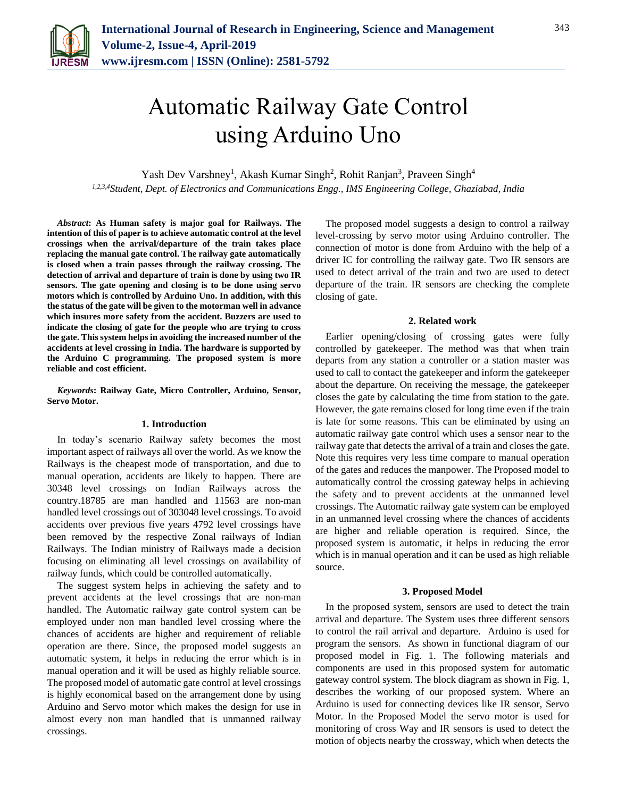

# Automatic Railway Gate Control using Arduino Uno

Yash Dev Varshney<sup>1</sup>, Akash Kumar Singh<sup>2</sup>, Rohit Ranjan<sup>3</sup>, Praveen Singh<sup>4</sup> *1,2,3,4Student, Dept. of Electronics and Communications Engg., IMS Engineering College, Ghaziabad, India*

*Abstract***: As Human safety is major goal for Railways. The intention of this of paper is to achieve automatic control at the level crossings when the arrival/departure of the train takes place replacing the manual gate control. The railway gate automatically is closed when a train passes through the railway crossing. The detection of arrival and departure of train is done by using two IR sensors. The gate opening and closing is to be done using servo motors which is controlled by Arduino Uno. In addition, with this the status of the gate will be given to the motorman well in advance which insures more safety from the accident. Buzzers are used to indicate the closing of gate for the people who are trying to cross the gate. This system helps in avoiding the increased number of the accidents at level crossing in India. The hardware is supported by the Arduino C programming. The proposed system is more reliable and cost efficient.**

*Keywords***: Railway Gate, Micro Controller, Arduino, Sensor, Servo Motor.**

## **1. Introduction**

In today's scenario Railway safety becomes the most important aspect of railways all over the world. As we know the Railways is the cheapest mode of transportation, and due to manual operation, accidents are likely to happen. There are 30348 level crossings on Indian Railways across the country.18785 are man handled and 11563 are non-man handled level crossings out of 303048 level crossings. To avoid accidents over previous five years 4792 level crossings have been removed by the respective Zonal railways of Indian Railways. The Indian ministry of Railways made a decision focusing on eliminating all level crossings on availability of railway funds, which could be controlled automatically.

The suggest system helps in achieving the safety and to prevent accidents at the level crossings that are non-man handled. The Automatic railway gate control system can be employed under non man handled level crossing where the chances of accidents are higher and requirement of reliable operation are there. Since, the proposed model suggests an automatic system, it helps in reducing the error which is in manual operation and it will be used as highly reliable source. The proposed model of automatic gate control at level crossings is highly economical based on the arrangement done by using Arduino and Servo motor which makes the design for use in almost every non man handled that is unmanned railway crossings.

The proposed model suggests a design to control a railway level-crossing by servo motor using Arduino controller. The connection of motor is done from Arduino with the help of a driver IC for controlling the railway gate. Two IR sensors are used to detect arrival of the train and two are used to detect departure of the train. IR sensors are checking the complete closing of gate.

## **2. Related work**

Earlier opening/closing of crossing gates were fully controlled by gatekeeper. The method was that when train departs from any station a controller or a station master was used to call to contact the gatekeeper and inform the gatekeeper about the departure. On receiving the message, the gatekeeper closes the gate by calculating the time from station to the gate. However, the gate remains closed for long time even if the train is late for some reasons. This can be eliminated by using an automatic railway gate control which uses a sensor near to the railway gate that detects the arrival of a train and closes the gate. Note this requires very less time compare to manual operation of the gates and reduces the manpower. The Proposed model to automatically control the crossing gateway helps in achieving the safety and to prevent accidents at the unmanned level crossings. The Automatic railway gate system can be employed in an unmanned level crossing where the chances of accidents are higher and reliable operation is required. Since, the proposed system is automatic, it helps in reducing the error which is in manual operation and it can be used as high reliable source.

# **3. Proposed Model**

In the proposed system, sensors are used to detect the train arrival and departure. The System uses three different sensors to control the rail arrival and departure. Arduino is used for program the sensors. As shown in functional diagram of our proposed model in Fig. 1. The following materials and components are used in this proposed system for automatic gateway control system. The block diagram as shown in Fig. 1, describes the working of our proposed system. Where an Arduino is used for connecting devices like IR sensor, Servo Motor. In the Proposed Model the servo motor is used for monitoring of cross Way and IR sensors is used to detect the motion of objects nearby the crossway, which when detects the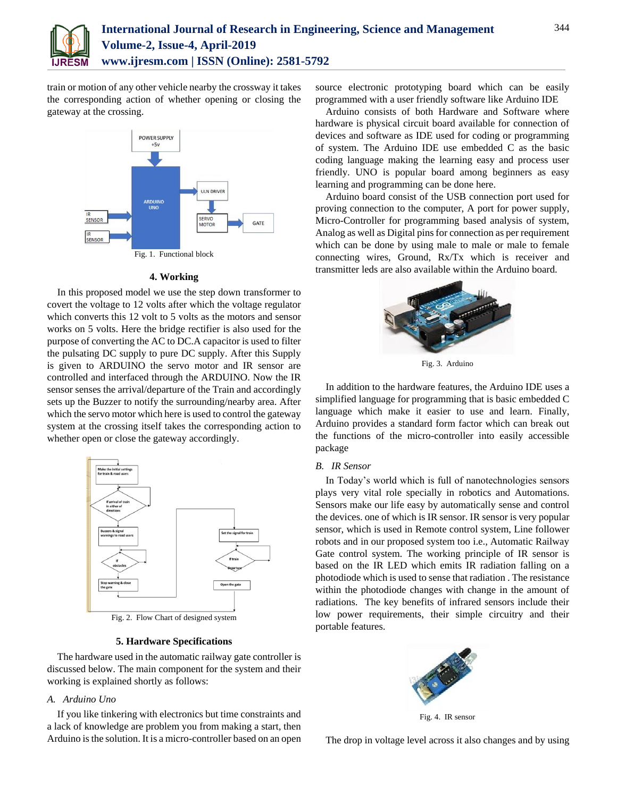

train or motion of any other vehicle nearby the crossway it takes the corresponding action of whether opening or closing the gateway at the crossing.



# **4. Working**

In this proposed model we use the step down transformer to covert the voltage to 12 volts after which the voltage regulator which converts this 12 volt to 5 volts as the motors and sensor works on 5 volts. Here the bridge rectifier is also used for the purpose of converting the AC to DC.A capacitor is used to filter the pulsating DC supply to pure DC supply. After this Supply is given to ARDUINO the servo motor and IR sensor are controlled and interfaced through the ARDUINO. Now the IR sensor senses the arrival/departure of the Train and accordingly sets up the Buzzer to notify the surrounding/nearby area. After which the servo motor which here is used to control the gateway system at the crossing itself takes the corresponding action to whether open or close the gateway accordingly.



Fig. 2. Flow Chart of designed system

# **5. Hardware Specifications**

The hardware used in the automatic railway gate controller is discussed below. The main component for the system and their working is explained shortly as follows:

# *A. Arduino Uno*

If you like tinkering with electronics but time constraints and a lack of knowledge are problem you from making a start, then Arduino is the solution. It is a micro-controller based on an open source electronic prototyping board which can be easily programmed with a user friendly software like Arduino IDE

Arduino consists of both Hardware and Software where hardware is physical circuit board available for connection of devices and software as IDE used for coding or programming of system. The Arduino IDE use embedded C as the basic coding language making the learning easy and process user friendly. UNO is popular board among beginners as easy learning and programming can be done here.

Arduino board consist of the USB connection port used for proving connection to the computer, A port for power supply, Micro-Controller for programming based analysis of system, Analog as well as Digital pins for connection as per requirement which can be done by using male to male or male to female connecting wires, Ground, Rx/Tx which is receiver and transmitter leds are also available within the Arduino board.



Fig. 3. Arduino

In addition to the hardware features, the Arduino IDE uses a simplified language for programming that is basic embedded C language which make it easier to use and learn. Finally, Arduino provides a standard form factor which can break out the functions of the micro-controller into easily accessible package

#### *B. IR Sensor*

In Today's world which is full of nanotechnologies sensors plays very vital role specially in robotics and Automations. Sensors make our life easy by automatically sense and control the devices. one of which is IR sensor. IR sensor is very popular sensor, which is used in Remote control system, Line follower robots and in our proposed system too i.e., Automatic Railway Gate control system. The working principle of IR sensor is based on the IR LED which emits IR radiation falling on a photodiode which is used to sense that radiation . The resistance within the photodiode changes with change in the amount of radiations. The key benefits of infrared sensors include their low power requirements, their simple circuitry and their portable features.



Fig. 4. IR sensor

The drop in voltage level across it also changes and by using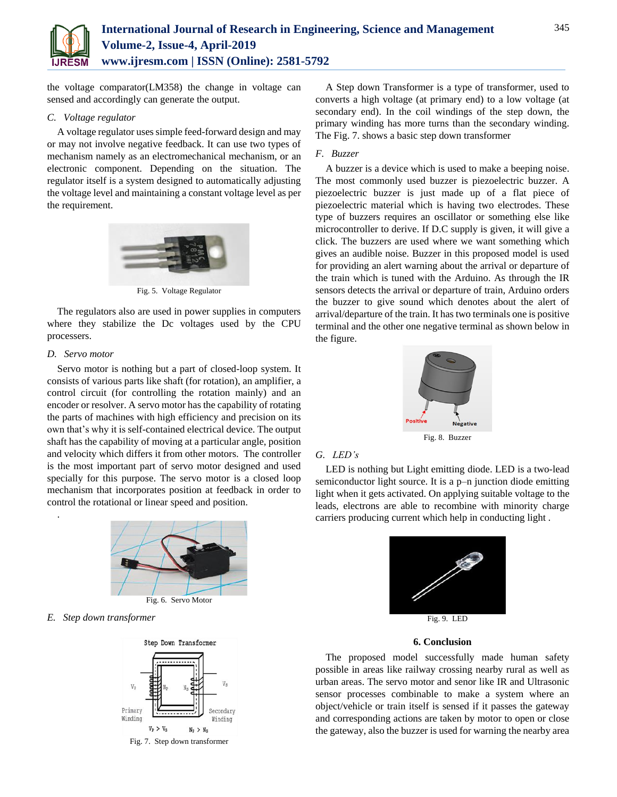

the voltage comparator(LM358) the change in voltage can sensed and accordingly can generate the output.

# *C. Voltage regulator*

A voltage regulator uses simple feed-forward design and may or may not involve negative feedback. It can use two types of mechanism namely as an electromechanical mechanism, or an electronic component. Depending on the situation. The regulator itself is a system designed to automatically adjusting the voltage level and maintaining a constant voltage level as per the requirement.



Fig. 5. Voltage Regulator

The regulators also are used in power supplies in computers where they stabilize the Dc voltages used by the CPU processers.

## *D. Servo motor*

.

Servo motor is nothing but a part of closed-loop system. It consists of various parts like shaft (for rotation), an amplifier, a control circuit (for controlling the rotation mainly) and an encoder or resolver. A servo motor has the capability of rotating the parts of machines with high efficiency and precision on its own that's why it is self-contained electrical device. The output shaft has the capability of moving at a particular angle, position and velocity which differs it from other motors. The controller is the most important part of servo motor designed and used specially for this purpose. The servo motor is a closed loop mechanism that incorporates position at feedback in order to control the rotational or linear speed and position.



*E. Step down transformer*



A Step down Transformer is a type of transformer, used to converts a high voltage (at primary end) to a low voltage (at secondary end). In the coil windings of the step down, the primary winding has more turns than the secondary winding. The Fig. 7. shows a basic step down transformer

# *F. Buzzer*

A buzzer is a device which is used to make a beeping noise. The most commonly used buzzer is piezoelectric buzzer. A piezoelectric buzzer is just made up of a flat piece of piezoelectric material which is having two electrodes. These type of buzzers requires an oscillator or something else like microcontroller to derive. If D.C supply is given, it will give a click. The buzzers are used where we want something which gives an audible noise. Buzzer in this proposed model is used for providing an alert warning about the arrival or departure of the train which is tuned with the Arduino. As through the IR sensors detects the arrival or departure of train, Arduino orders the buzzer to give sound which denotes about the alert of arrival/departure of the train. It has two terminals one is positive terminal and the other one negative terminal as shown below in the figure.



# *G. LED's*

LED is nothing but Light emitting diode. LED is a two-lead semiconductor light source. It is a p–n junction diode emitting light when it gets activated. On applying suitable voltage to the leads, electrons are able to recombine with minority charge carriers producing current which help in conducting light .



# **6. Conclusion**

The proposed model successfully made human safety possible in areas like railway crossing nearby rural as well as urban areas. The servo motor and senor like IR and Ultrasonic sensor processes combinable to make a system where an object/vehicle or train itself is sensed if it passes the gateway and corresponding actions are taken by motor to open or close the gateway, also the buzzer is used for warning the nearby area